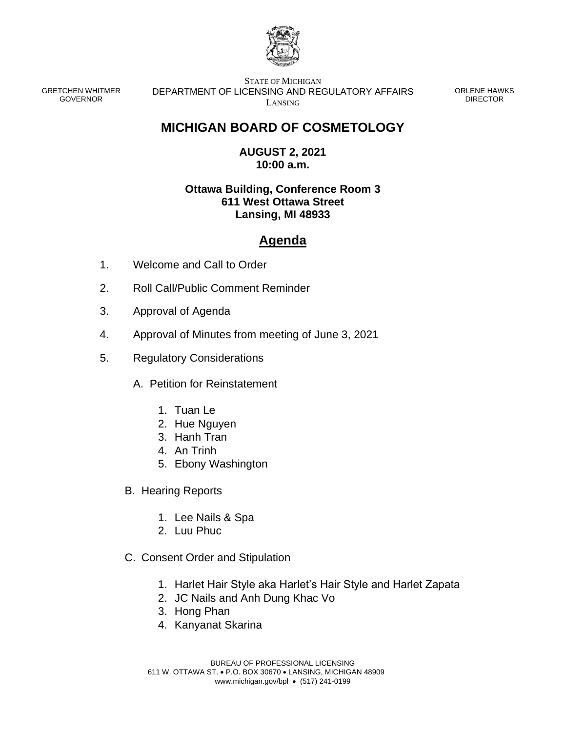

GRETCHEN WHITMER GOVERNOR

STATE OF MICHIGAN DEPARTMENT OF LICENSING AND REGULATORY AFFAIRS LANSING

ORLENE HAWKS DIRECTOR

## **MICHIGAN BOARD OF COSMETOLOGY**

## **AUGUST 2, 2021 10:00 a.m.**

## **Ottawa Building, Conference Room 3 611 West Ottawa Street Lansing, MI 48933**

## **Agenda**

- 1. Welcome and Call to Order
- 2. Roll Call/Public Comment Reminder
- 3. Approval of Agenda
- 4. Approval of Minutes from meeting of June 3, 2021
- 5. Regulatory Considerations
	- A. Petition for Reinstatement
		- 1. Tuan Le
		- 2. Hue Nguyen
		- 3. Hanh Tran
		- 4. An Trinh
		- 5. Ebony Washington
	- B. Hearing Reports
		- 1. Lee Nails & Spa
		- 2. Luu Phuc
	- C. Consent Order and Stipulation
		- 1. Harlet Hair Style aka Harlet's Hair Style and Harlet Zapata
		- 2. JC Nails and Anh Dung Khac Vo
		- 3. Hong Phan
		- 4. Kanyanat Skarina